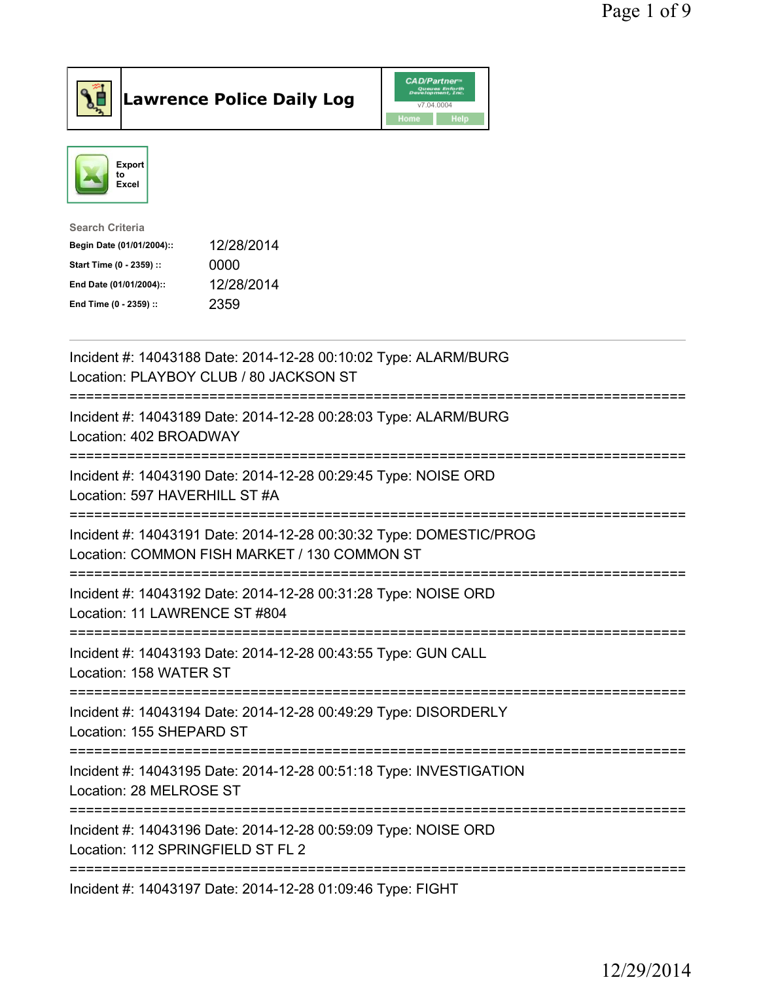



| <b>Search Criteria</b>    |            |
|---------------------------|------------|
| Begin Date (01/01/2004):: | 12/28/2014 |
| Start Time (0 - 2359) ::  | 0000       |
| End Date (01/01/2004)::   | 12/28/2014 |
| End Time (0 - 2359) ::    | 2359       |
|                           |            |

| Incident #: 14043188 Date: 2014-12-28 00:10:02 Type: ALARM/BURG<br>Location: PLAYBOY CLUB / 80 JACKSON ST          |
|--------------------------------------------------------------------------------------------------------------------|
| Incident #: 14043189 Date: 2014-12-28 00:28:03 Type: ALARM/BURG<br>Location: 402 BROADWAY<br>================      |
| Incident #: 14043190 Date: 2014-12-28 00:29:45 Type: NOISE ORD<br>Location: 597 HAVERHILL ST #A                    |
| Incident #: 14043191 Date: 2014-12-28 00:30:32 Type: DOMESTIC/PROG<br>Location: COMMON FISH MARKET / 130 COMMON ST |
| Incident #: 14043192 Date: 2014-12-28 00:31:28 Type: NOISE ORD<br>Location: 11 LAWRENCE ST #804                    |
| Incident #: 14043193 Date: 2014-12-28 00:43:55 Type: GUN CALL<br>Location: 158 WATER ST                            |
| Incident #: 14043194 Date: 2014-12-28 00:49:29 Type: DISORDERLY<br>Location: 155 SHEPARD ST                        |
| Incident #: 14043195 Date: 2014-12-28 00:51:18 Type: INVESTIGATION<br>Location: 28 MELROSE ST                      |
| Incident #: 14043196 Date: 2014-12-28 00:59:09 Type: NOISE ORD<br>Location: 112 SPRINGFIELD ST FL 2                |
| Incident #: 14043197 Date: 2014-12-28 01:09:46 Type: FIGHT                                                         |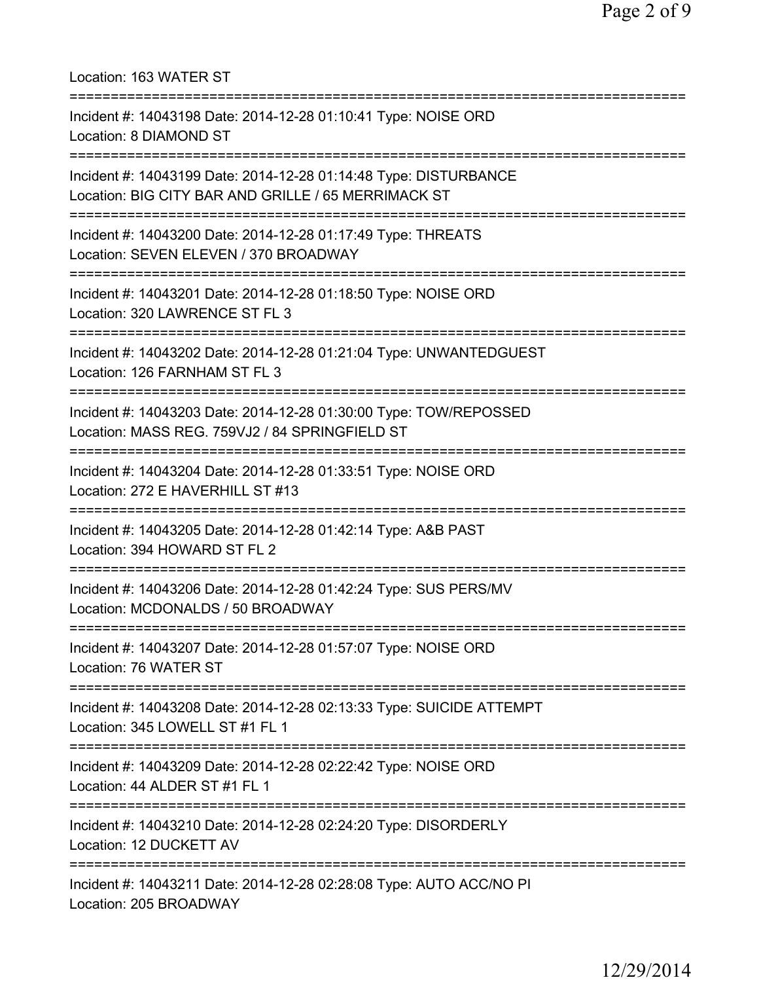| Location: 163 WATER ST<br>===================================                                                                           |
|-----------------------------------------------------------------------------------------------------------------------------------------|
| Incident #: 14043198 Date: 2014-12-28 01:10:41 Type: NOISE ORD<br>Location: 8 DIAMOND ST<br>====================================        |
| Incident #: 14043199 Date: 2014-12-28 01:14:48 Type: DISTURBANCE<br>Location: BIG CITY BAR AND GRILLE / 65 MERRIMACK ST                 |
| Incident #: 14043200 Date: 2014-12-28 01:17:49 Type: THREATS<br>Location: SEVEN ELEVEN / 370 BROADWAY                                   |
| Incident #: 14043201 Date: 2014-12-28 01:18:50 Type: NOISE ORD<br>Location: 320 LAWRENCE ST FL 3                                        |
| Incident #: 14043202 Date: 2014-12-28 01:21:04 Type: UNWANTEDGUEST<br>Location: 126 FARNHAM ST FL 3                                     |
| Incident #: 14043203 Date: 2014-12-28 01:30:00 Type: TOW/REPOSSED<br>Location: MASS REG. 759VJ2 / 84 SPRINGFIELD ST                     |
| Incident #: 14043204 Date: 2014-12-28 01:33:51 Type: NOISE ORD<br>Location: 272 E HAVERHILL ST #13                                      |
| Incident #: 14043205 Date: 2014-12-28 01:42:14 Type: A&B PAST<br>Location: 394 HOWARD ST FL 2                                           |
| Incident #: 14043206 Date: 2014-12-28 01:42:24 Type: SUS PERS/MV<br>Location: MCDONALDS / 50 BROADWAY                                   |
| Incident #: 14043207 Date: 2014-12-28 01:57:07 Type: NOISE ORD<br>Location: 76 WATER ST                                                 |
| Incident #: 14043208 Date: 2014-12-28 02:13:33 Type: SUICIDE ATTEMPT<br>Location: 345 LOWELL ST #1 FL 1                                 |
| ====================================<br>Incident #: 14043209 Date: 2014-12-28 02:22:42 Type: NOISE ORD<br>Location: 44 ALDER ST #1 FL 1 |
| Incident #: 14043210 Date: 2014-12-28 02:24:20 Type: DISORDERLY<br>Location: 12 DUCKETT AV                                              |
| Incident #: 14043211 Date: 2014-12-28 02:28:08 Type: AUTO ACC/NO PI<br>Location: 205 BROADWAY                                           |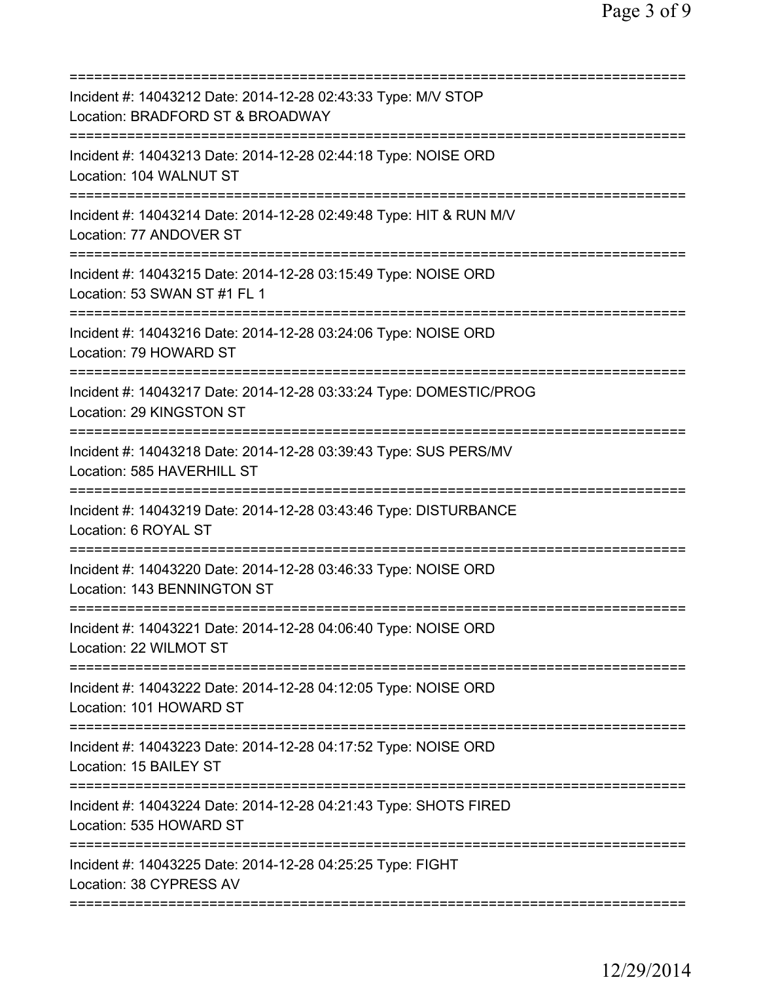| Incident #: 14043212 Date: 2014-12-28 02:43:33 Type: M/V STOP<br>Location: BRADFORD ST & BROADWAY<br>============================== |
|-------------------------------------------------------------------------------------------------------------------------------------|
| Incident #: 14043213 Date: 2014-12-28 02:44:18 Type: NOISE ORD<br>Location: 104 WALNUT ST                                           |
| Incident #: 14043214 Date: 2014-12-28 02:49:48 Type: HIT & RUN M/V<br>Location: 77 ANDOVER ST                                       |
| Incident #: 14043215 Date: 2014-12-28 03:15:49 Type: NOISE ORD<br>Location: 53 SWAN ST #1 FL 1                                      |
| Incident #: 14043216 Date: 2014-12-28 03:24:06 Type: NOISE ORD<br>Location: 79 HOWARD ST                                            |
| Incident #: 14043217 Date: 2014-12-28 03:33:24 Type: DOMESTIC/PROG<br>Location: 29 KINGSTON ST                                      |
| Incident #: 14043218 Date: 2014-12-28 03:39:43 Type: SUS PERS/MV<br>Location: 585 HAVERHILL ST                                      |
| Incident #: 14043219 Date: 2014-12-28 03:43:46 Type: DISTURBANCE<br>Location: 6 ROYAL ST                                            |
| Incident #: 14043220 Date: 2014-12-28 03:46:33 Type: NOISE ORD<br>Location: 143 BENNINGTON ST                                       |
| Incident #: 14043221 Date: 2014-12-28 04:06:40 Type: NOISE ORD<br>Location: 22 WILMOT ST                                            |
| ;==================================<br>Incident #: 14043222 Date: 2014-12-28 04:12:05 Type: NOISE ORD<br>Location: 101 HOWARD ST    |
| Incident #: 14043223 Date: 2014-12-28 04:17:52 Type: NOISE ORD<br>Location: 15 BAILEY ST                                            |
| Incident #: 14043224 Date: 2014-12-28 04:21:43 Type: SHOTS FIRED<br>Location: 535 HOWARD ST                                         |
| Incident #: 14043225 Date: 2014-12-28 04:25:25 Type: FIGHT<br>Location: 38 CYPRESS AV                                               |
|                                                                                                                                     |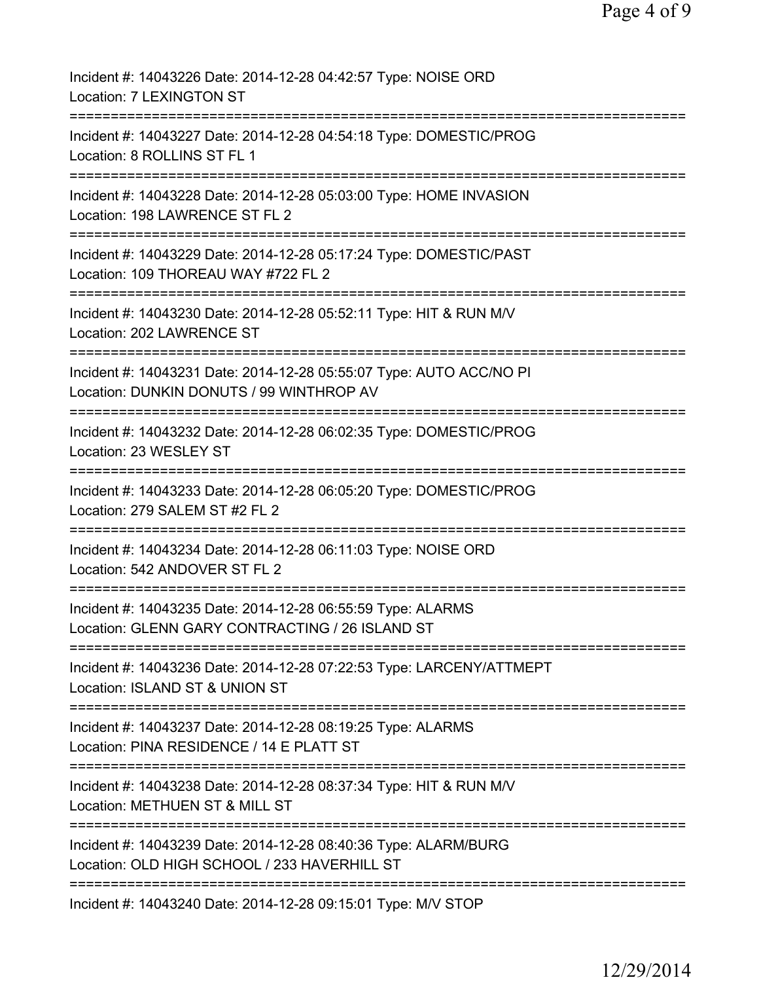| Incident #: 14043226 Date: 2014-12-28 04:42:57 Type: NOISE ORD<br>Location: 7 LEXINGTON ST                      |
|-----------------------------------------------------------------------------------------------------------------|
| Incident #: 14043227 Date: 2014-12-28 04:54:18 Type: DOMESTIC/PROG<br>Location: 8 ROLLINS ST FL 1               |
| Incident #: 14043228 Date: 2014-12-28 05:03:00 Type: HOME INVASION<br>Location: 198 LAWRENCE ST FL 2            |
| Incident #: 14043229 Date: 2014-12-28 05:17:24 Type: DOMESTIC/PAST<br>Location: 109 THOREAU WAY #722 FL 2       |
| Incident #: 14043230 Date: 2014-12-28 05:52:11 Type: HIT & RUN M/V<br>Location: 202 LAWRENCE ST                 |
| Incident #: 14043231 Date: 2014-12-28 05:55:07 Type: AUTO ACC/NO PI<br>Location: DUNKIN DONUTS / 99 WINTHROP AV |
| Incident #: 14043232 Date: 2014-12-28 06:02:35 Type: DOMESTIC/PROG<br>Location: 23 WESLEY ST                    |
| Incident #: 14043233 Date: 2014-12-28 06:05:20 Type: DOMESTIC/PROG<br>Location: 279 SALEM ST #2 FL 2            |
| Incident #: 14043234 Date: 2014-12-28 06:11:03 Type: NOISE ORD<br>Location: 542 ANDOVER ST FL 2                 |
| Incident #: 14043235 Date: 2014-12-28 06:55:59 Type: ALARMS<br>Location: GLENN GARY CONTRACTING / 26 ISLAND ST  |
| Incident #: 14043236 Date: 2014-12-28 07:22:53 Type: LARCENY/ATTMEPT<br>Location: ISLAND ST & UNION ST          |
| Incident #: 14043237 Date: 2014-12-28 08:19:25 Type: ALARMS<br>Location: PINA RESIDENCE / 14 E PLATT ST         |
| Incident #: 14043238 Date: 2014-12-28 08:37:34 Type: HIT & RUN M/V<br>Location: METHUEN ST & MILL ST            |
| Incident #: 14043239 Date: 2014-12-28 08:40:36 Type: ALARM/BURG<br>Location: OLD HIGH SCHOOL / 233 HAVERHILL ST |
| Incident #: 14043240 Date: 2014-12-28 09:15:01 Type: M/V STOP                                                   |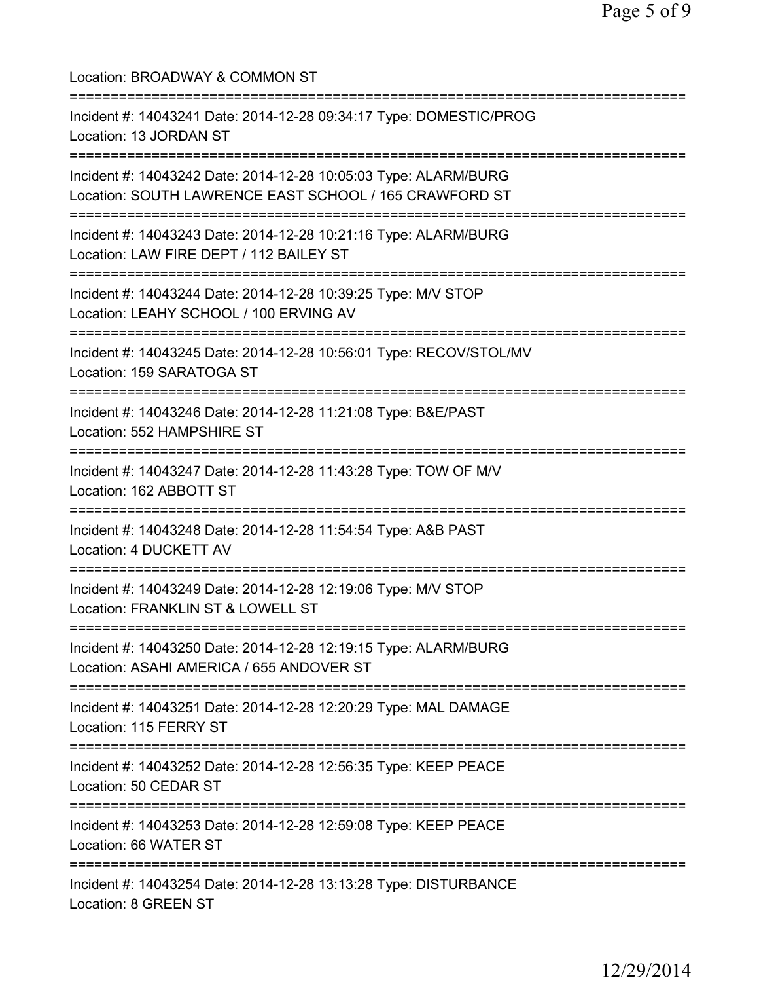Location: BROADWAY & COMMON ST =========================================================================== Incident #: 14043241 Date: 2014-12-28 09:34:17 Type: DOMESTIC/PROG Location: 13 JORDAN ST =========================================================================== Incident #: 14043242 Date: 2014-12-28 10:05:03 Type: ALARM/BURG Location: SOUTH LAWRENCE EAST SCHOOL / 165 CRAWFORD ST =========================================================================== Incident #: 14043243 Date: 2014-12-28 10:21:16 Type: ALARM/BURG Location: LAW FIRE DEPT / 112 BAILEY ST =========================================================================== Incident #: 14043244 Date: 2014-12-28 10:39:25 Type: M/V STOP Location: LEAHY SCHOOL / 100 ERVING AV =========================================================================== Incident #: 14043245 Date: 2014-12-28 10:56:01 Type: RECOV/STOL/MV Location: 159 SARATOGA ST =========================================================================== Incident #: 14043246 Date: 2014-12-28 11:21:08 Type: B&E/PAST Location: 552 HAMPSHIRE ST =========================================================================== Incident #: 14043247 Date: 2014-12-28 11:43:28 Type: TOW OF M/V Location: 162 ABBOTT ST =========================================================================== Incident #: 14043248 Date: 2014-12-28 11:54:54 Type: A&B PAST Location: 4 DUCKETT AV =========================================================================== Incident #: 14043249 Date: 2014-12-28 12:19:06 Type: M/V STOP Location: FRANKLIN ST & LOWELL ST =========================================================================== Incident #: 14043250 Date: 2014-12-28 12:19:15 Type: ALARM/BURG Location: ASAHI AMERICA / 655 ANDOVER ST =========================================================================== Incident #: 14043251 Date: 2014-12-28 12:20:29 Type: MAL DAMAGE Location: 115 FERRY ST =========================================================================== Incident #: 14043252 Date: 2014-12-28 12:56:35 Type: KEEP PEACE Location: 50 CEDAR ST =========================================================================== Incident #: 14043253 Date: 2014-12-28 12:59:08 Type: KEEP PEACE Location: 66 WATER ST =========================================================================== Incident #: 14043254 Date: 2014-12-28 13:13:28 Type: DISTURBANCE Location: 8 GREEN ST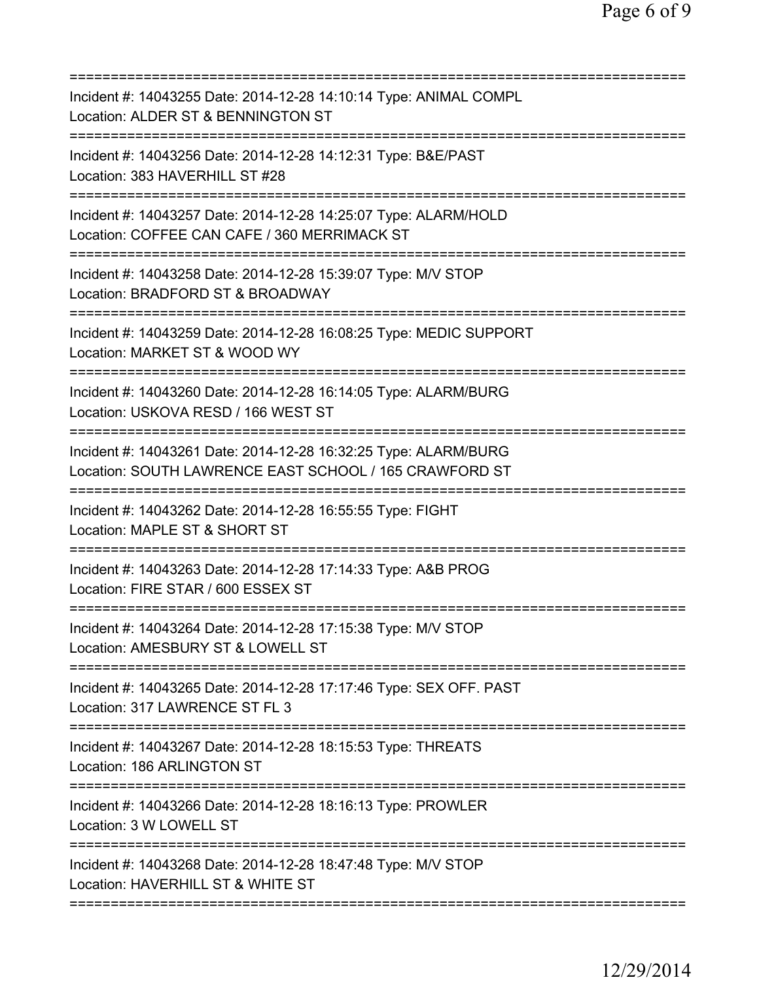| Incident #: 14043255 Date: 2014-12-28 14:10:14 Type: ANIMAL COMPL<br>Location: ALDER ST & BENNINGTON ST<br>========================          |
|----------------------------------------------------------------------------------------------------------------------------------------------|
| Incident #: 14043256 Date: 2014-12-28 14:12:31 Type: B&E/PAST<br>Location: 383 HAVERHILL ST #28                                              |
| Incident #: 14043257 Date: 2014-12-28 14:25:07 Type: ALARM/HOLD<br>Location: COFFEE CAN CAFE / 360 MERRIMACK ST<br>========================= |
| Incident #: 14043258 Date: 2014-12-28 15:39:07 Type: M/V STOP<br>Location: BRADFORD ST & BROADWAY                                            |
| Incident #: 14043259 Date: 2014-12-28 16:08:25 Type: MEDIC SUPPORT<br>Location: MARKET ST & WOOD WY                                          |
| Incident #: 14043260 Date: 2014-12-28 16:14:05 Type: ALARM/BURG<br>Location: USKOVA RESD / 166 WEST ST<br>===============================    |
| Incident #: 14043261 Date: 2014-12-28 16:32:25 Type: ALARM/BURG<br>Location: SOUTH LAWRENCE EAST SCHOOL / 165 CRAWFORD ST                    |
| Incident #: 14043262 Date: 2014-12-28 16:55:55 Type: FIGHT<br>Location: MAPLE ST & SHORT ST                                                  |
| Incident #: 14043263 Date: 2014-12-28 17:14:33 Type: A&B PROG<br>Location: FIRE STAR / 600 ESSEX ST                                          |
| Incident #: 14043264 Date: 2014-12-28 17:15:38 Type: M/V STOP<br>Location: AMESBURY ST & LOWELL ST                                           |
| Incident #: 14043265 Date: 2014-12-28 17:17:46 Type: SEX OFF. PAST<br>Location: 317 LAWRENCE ST FL 3                                         |
| Incident #: 14043267 Date: 2014-12-28 18:15:53 Type: THREATS<br>Location: 186 ARLINGTON ST                                                   |
| Incident #: 14043266 Date: 2014-12-28 18:16:13 Type: PROWLER<br>Location: 3 W LOWELL ST                                                      |
|                                                                                                                                              |
| Incident #: 14043268 Date: 2014-12-28 18:47:48 Type: M/V STOP<br>Location: HAVERHILL ST & WHITE ST                                           |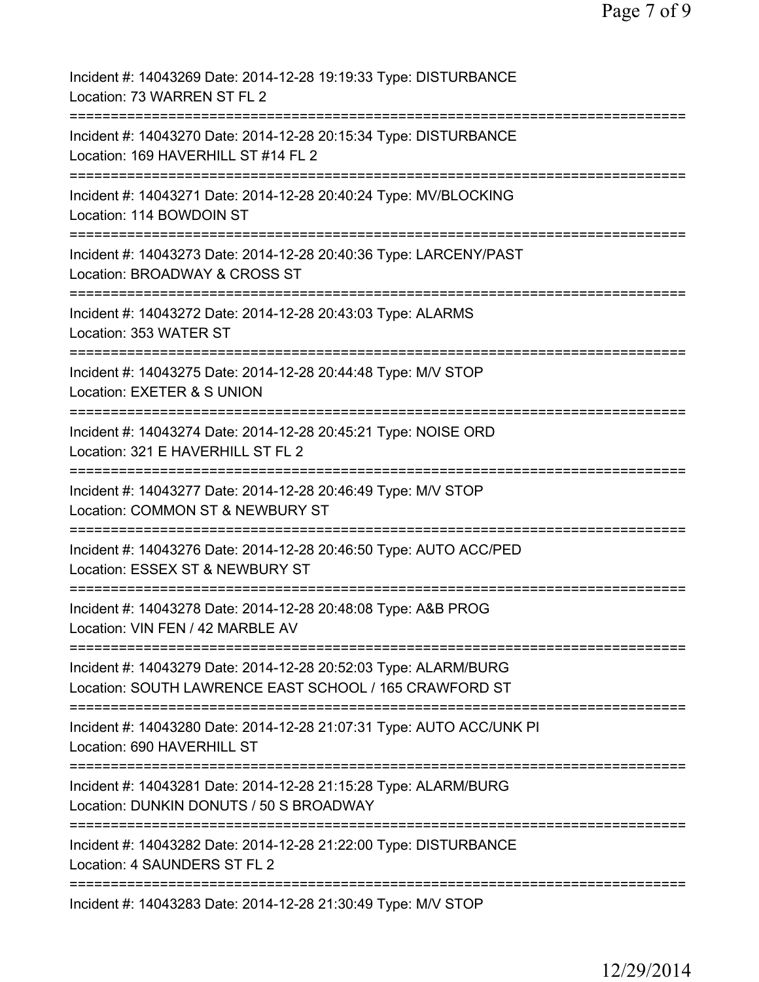| Incident #: 14043269 Date: 2014-12-28 19:19:33 Type: DISTURBANCE<br>Location: 73 WARREN ST FL 2                                                     |
|-----------------------------------------------------------------------------------------------------------------------------------------------------|
| Incident #: 14043270 Date: 2014-12-28 20:15:34 Type: DISTURBANCE<br>Location: 169 HAVERHILL ST #14 FL 2                                             |
| Incident #: 14043271 Date: 2014-12-28 20:40:24 Type: MV/BLOCKING<br>Location: 114 BOWDOIN ST                                                        |
| Incident #: 14043273 Date: 2014-12-28 20:40:36 Type: LARCENY/PAST<br>Location: BROADWAY & CROSS ST                                                  |
| Incident #: 14043272 Date: 2014-12-28 20:43:03 Type: ALARMS<br>Location: 353 WATER ST                                                               |
| Incident #: 14043275 Date: 2014-12-28 20:44:48 Type: M/V STOP<br>Location: EXETER & S UNION                                                         |
| Incident #: 14043274 Date: 2014-12-28 20:45:21 Type: NOISE ORD<br>Location: 321 E HAVERHILL ST FL 2                                                 |
| Incident #: 14043277 Date: 2014-12-28 20:46:49 Type: M/V STOP<br>Location: COMMON ST & NEWBURY ST<br>================<br>========================== |
| Incident #: 14043276 Date: 2014-12-28 20:46:50 Type: AUTO ACC/PED<br>Location: ESSEX ST & NEWBURY ST                                                |
| Incident #: 14043278 Date: 2014-12-28 20:48:08 Type: A&B PROG<br>Location: VIN FEN / 42 MARBLE AV                                                   |
| Incident #: 14043279 Date: 2014-12-28 20:52:03 Type: ALARM/BURG<br>Location: SOUTH LAWRENCE EAST SCHOOL / 165 CRAWFORD ST                           |
| Incident #: 14043280 Date: 2014-12-28 21:07:31 Type: AUTO ACC/UNK PI<br>Location: 690 HAVERHILL ST                                                  |
| Incident #: 14043281 Date: 2014-12-28 21:15:28 Type: ALARM/BURG<br>Location: DUNKIN DONUTS / 50 S BROADWAY<br>=======================               |
| Incident #: 14043282 Date: 2014-12-28 21:22:00 Type: DISTURBANCE<br>Location: 4 SAUNDERS ST FL 2                                                    |
| :==================<br>Incident #: 14043283 Date: 2014-12-28 21:30:49 Type: M/V STOP                                                                |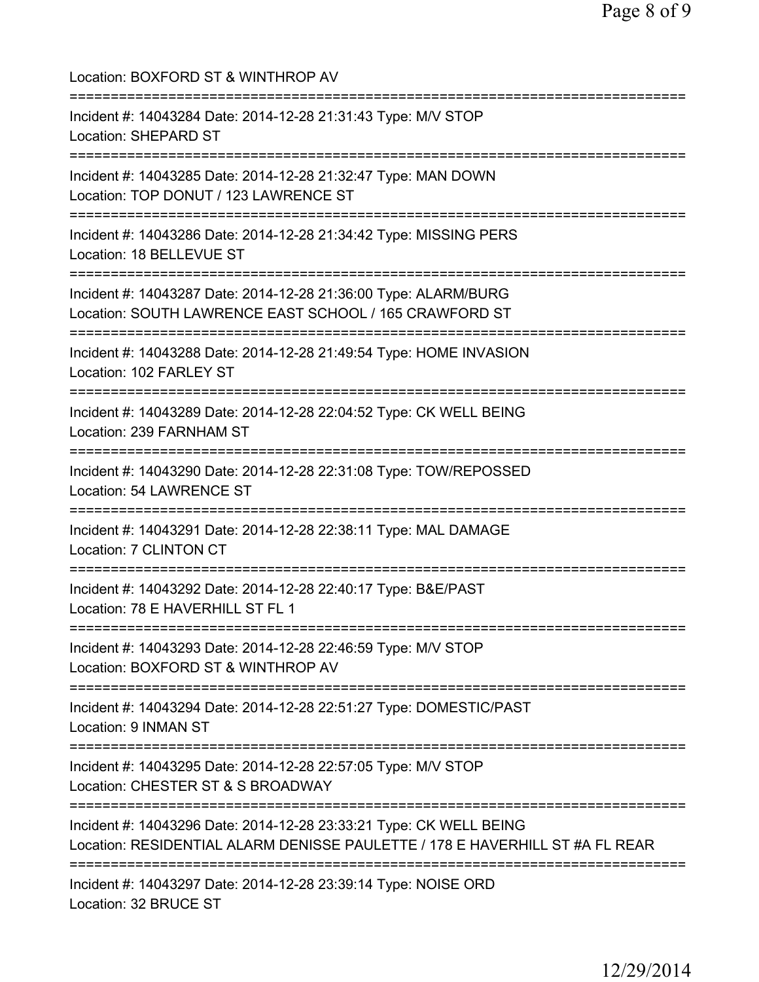| Location: BOXFORD ST & WINTHROP AV                                                                                                                 |
|----------------------------------------------------------------------------------------------------------------------------------------------------|
| Incident #: 14043284 Date: 2014-12-28 21:31:43 Type: M/V STOP<br><b>Location: SHEPARD ST</b>                                                       |
| Incident #: 14043285 Date: 2014-12-28 21:32:47 Type: MAN DOWN<br>Location: TOP DONUT / 123 LAWRENCE ST                                             |
| Incident #: 14043286 Date: 2014-12-28 21:34:42 Type: MISSING PERS<br>Location: 18 BELLEVUE ST                                                      |
| Incident #: 14043287 Date: 2014-12-28 21:36:00 Type: ALARM/BURG<br>Location: SOUTH LAWRENCE EAST SCHOOL / 165 CRAWFORD ST                          |
| Incident #: 14043288 Date: 2014-12-28 21:49:54 Type: HOME INVASION<br>Location: 102 FARLEY ST                                                      |
| Incident #: 14043289 Date: 2014-12-28 22:04:52 Type: CK WELL BEING<br>Location: 239 FARNHAM ST<br>:=================================               |
| Incident #: 14043290 Date: 2014-12-28 22:31:08 Type: TOW/REPOSSED<br>Location: 54 LAWRENCE ST<br>:====================================             |
| Incident #: 14043291 Date: 2014-12-28 22:38:11 Type: MAL DAMAGE<br>Location: 7 CLINTON CT                                                          |
| Incident #: 14043292 Date: 2014-12-28 22:40:17 Type: B&E/PAST<br>Location: 78 E HAVERHILL ST FL 1                                                  |
| ===================================<br>Incident #: 14043293 Date: 2014-12-28 22:46:59 Type: M/V STOP<br>Location: BOXFORD ST & WINTHROP AV         |
| Incident #: 14043294 Date: 2014-12-28 22:51:27 Type: DOMESTIC/PAST<br>Location: 9 INMAN ST                                                         |
| Incident #: 14043295 Date: 2014-12-28 22:57:05 Type: M/V STOP<br>Location: CHESTER ST & S BROADWAY                                                 |
| Incident #: 14043296 Date: 2014-12-28 23:33:21 Type: CK WELL BEING<br>Location: RESIDENTIAL ALARM DENISSE PAULETTE / 178 E HAVERHILL ST #A FL REAR |
| Incident #: 14043297 Date: 2014-12-28 23:39:14 Type: NOISE ORD<br>Location: 32 BRUCE ST                                                            |